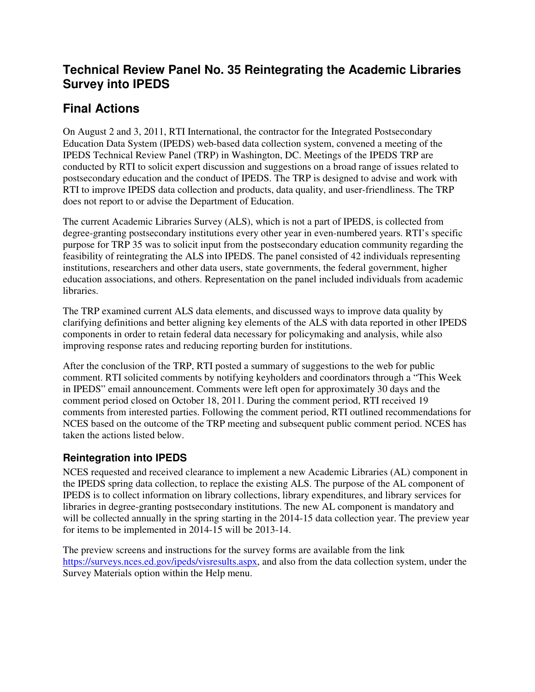## **Technical Review Panel No. 35 Reintegrating the Academic Libraries Survey into IPEDS**

# **Final Actions**

On August 2 and 3, 2011, RTI International, the contractor for the Integrated Postsecondary Education Data System (IPEDS) web-based data collection system, convened a meeting of the IPEDS Technical Review Panel (TRP) in Washington, DC. Meetings of the IPEDS TRP are conducted by RTI to solicit expert discussion and suggestions on a broad range of issues related to postsecondary education and the conduct of IPEDS. The TRP is designed to advise and work with RTI to improve IPEDS data collection and products, data quality, and user-friendliness. The TRP does not report to or advise the Department of Education.

The current Academic Libraries Survey (ALS), which is not a part of IPEDS, is collected from degree-granting postsecondary institutions every other year in even-numbered years. RTI's specific purpose for TRP 35 was to solicit input from the postsecondary education community regarding the feasibility of reintegrating the ALS into IPEDS. The panel consisted of 42 individuals representing institutions, researchers and other data users, state governments, the federal government, higher education associations, and others. Representation on the panel included individuals from academic libraries.

The TRP examined current ALS data elements, and discussed ways to improve data quality by clarifying definitions and better aligning key elements of the ALS with data reported in other IPEDS components in order to retain federal data necessary for policymaking and analysis, while also improving response rates and reducing reporting burden for institutions.

After the conclusion of the TRP, RTI posted a summary of suggestions to the web for public comment. RTI solicited comments by notifying keyholders and coordinators through a "This Week in IPEDS" email announcement. Comments were left open for approximately 30 days and the comment period closed on October 18, 2011. During the comment period, RTI received 19 comments from interested parties. Following the comment period, RTI outlined recommendations for NCES based on the outcome of the TRP meeting and subsequent public comment period. NCES has taken the actions listed below.

## **Reintegration into IPEDS**

NCES requested and received clearance to implement a new Academic Libraries (AL) component in the IPEDS spring data collection, to replace the existing ALS. The purpose of the AL component of IPEDS is to collect information on library collections, library expenditures, and library services for libraries in degree-granting postsecondary institutions. The new AL component is mandatory and will be collected annually in the spring starting in the 2014-15 data collection year. The preview year for items to be implemented in 2014-15 will be 2013-14.

The preview screens and instructions for the survey forms are available from the link https://surveys.nces.ed.gov/ipeds/visresults.aspx, and also from the data collection system, under the Survey Materials option within the Help menu.